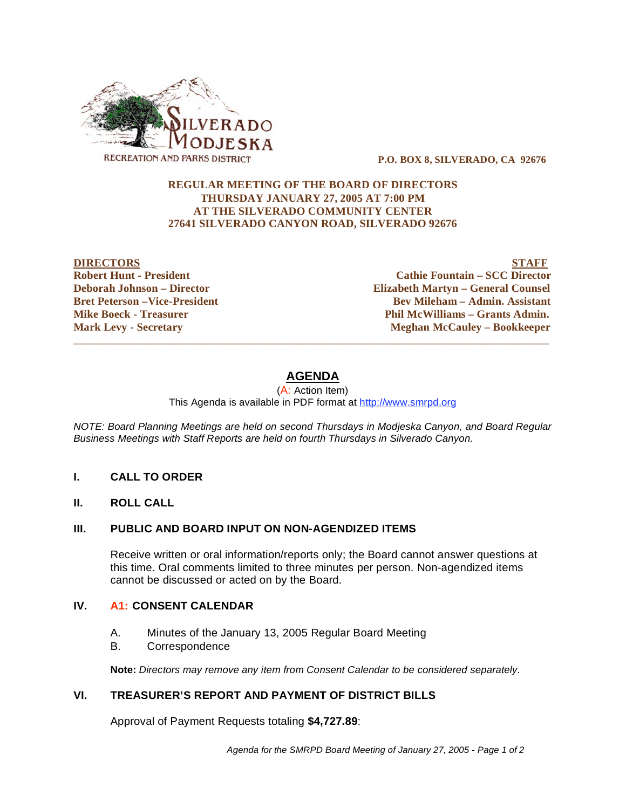

 **P.O. BOX 8, SILVERADO, CA 92676** 

## **REGULAR MEETING OF THE BOARD OF DIRECTORS THURSDAY JANUARY 27, 2005 AT 7:00 PM AT THE SILVERADO COMMUNITY CENTER 27641 SILVERADO CANYON ROAD, SILVERADO 92676**

**DIRECTORS STAFF Robert Hunt - President Cathie Fountain – SCC Director Deborah Johnson – Director Elizabeth Martyn – General Counsel Bret Peterson –Vice-President 2008 Constraint Bev Mileham – Admin. Assistant Mike Boeck - Treasurer**  The Phil McWilliams – Grants Admin. **Mark Levy - Secretary The Cauley - Bookkeeper** Meghan McCauley - Bookkeeper

# **AGENDA**

 $\overline{\phantom{a}}$  ,  $\overline{\phantom{a}}$  ,  $\overline{\phantom{a}}$  ,  $\overline{\phantom{a}}$  ,  $\overline{\phantom{a}}$  ,  $\overline{\phantom{a}}$  ,  $\overline{\phantom{a}}$  ,  $\overline{\phantom{a}}$  ,  $\overline{\phantom{a}}$  ,  $\overline{\phantom{a}}$  ,  $\overline{\phantom{a}}$  ,  $\overline{\phantom{a}}$  ,  $\overline{\phantom{a}}$  ,  $\overline{\phantom{a}}$  ,  $\overline{\phantom{a}}$  ,  $\overline{\phantom{a}}$ 

(A: Action Item) This Agenda is available in PDF format at http://www.smrpd.org

*NOTE: Board Planning Meetings are held on second Thursdays in Modjeska Canyon, and Board Regular Business Meetings with Staff Reports are held on fourth Thursdays in Silverado Canyon.* 

#### **I. CALL TO ORDER**

**II. ROLL CALL** 

#### **III. PUBLIC AND BOARD INPUT ON NON-AGENDIZED ITEMS**

Receive written or oral information/reports only; the Board cannot answer questions at this time. Oral comments limited to three minutes per person. Non-agendized items cannot be discussed or acted on by the Board.

### **IV. A1: CONSENT CALENDAR**

- A. Minutes of the January 13, 2005 Regular Board Meeting
- B. Correspondence

**Note:** *Directors may remove any item from Consent Calendar to be considered separately.*

## **VI. TREASURER'S REPORT AND PAYMENT OF DISTRICT BILLS**

Approval of Payment Requests totaling **\$4,727.89**: